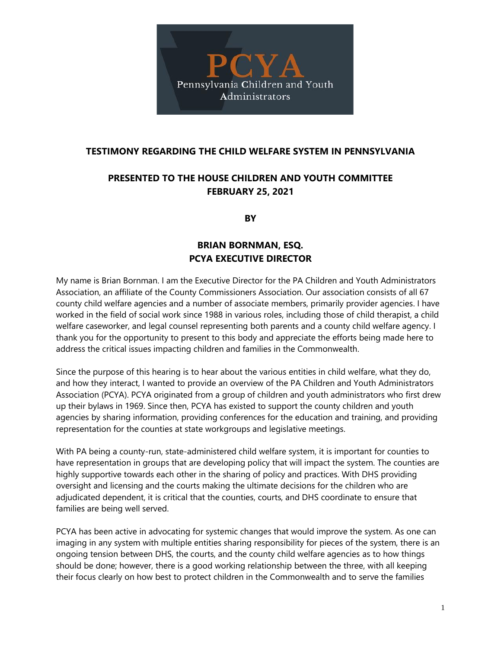

## **TESTIMONY REGARDING THE CHILD WELFARE SYSTEM IN PENNSYLVANIA**

## **PRESENTED TO THE HOUSE CHILDREN AND YOUTH COMMITTEE FEBRUARY 25, 2021**

**BY**

## **BRIAN BORNMAN, ESQ. PCYA EXECUTIVE DIRECTOR**

My name is Brian Bornman. I am the Executive Director for the PA Children and Youth Administrators Association, an affiliate of the County Commissioners Association. Our association consists of all 67 county child welfare agencies and a number of associate members, primarily provider agencies. I have worked in the field of social work since 1988 in various roles, including those of child therapist, a child welfare caseworker, and legal counsel representing both parents and a county child welfare agency. I thank you for the opportunity to present to this body and appreciate the efforts being made here to address the critical issues impacting children and families in the Commonwealth.

Since the purpose of this hearing is to hear about the various entities in child welfare, what they do, and how they interact, I wanted to provide an overview of the PA Children and Youth Administrators Association (PCYA). PCYA originated from a group of children and youth administrators who first drew up their bylaws in 1969. Since then, PCYA has existed to support the county children and youth agencies by sharing information, providing conferences for the education and training, and providing representation for the counties at state workgroups and legislative meetings.

With PA being a county-run, state-administered child welfare system, it is important for counties to have representation in groups that are developing policy that will impact the system. The counties are highly supportive towards each other in the sharing of policy and practices. With DHS providing oversight and licensing and the courts making the ultimate decisions for the children who are adjudicated dependent, it is critical that the counties, courts, and DHS coordinate to ensure that families are being well served.

PCYA has been active in advocating for systemic changes that would improve the system. As one can imaging in any system with multiple entities sharing responsibility for pieces of the system, there is an ongoing tension between DHS, the courts, and the county child welfare agencies as to how things should be done; however, there is a good working relationship between the three, with all keeping their focus clearly on how best to protect children in the Commonwealth and to serve the families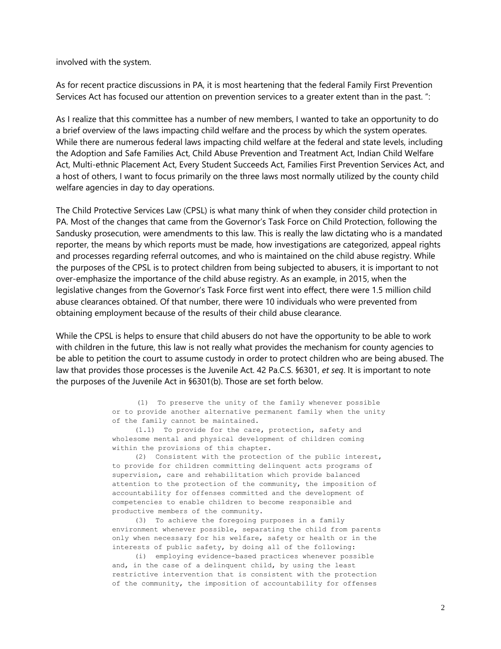involved with the system.

As for recent practice discussions in PA, it is most heartening that the federal Family First Prevention Services Act has focused our attention on prevention services to a greater extent than in the past. ":

As I realize that this committee has a number of new members, I wanted to take an opportunity to do a brief overview of the laws impacting child welfare and the process by which the system operates. While there are numerous federal laws impacting child welfare at the federal and state levels, including the Adoption and Safe Families Act, Child Abuse Prevention and Treatment Act, Indian Child Welfare Act, Multi-ethnic Placement Act, Every Student Succeeds Act, Families First Prevention Services Act, and a host of others, I want to focus primarily on the three laws most normally utilized by the county child welfare agencies in day to day operations.

The Child Protective Services Law (CPSL) is what many think of when they consider child protection in PA. Most of the changes that came from the Governor's Task Force on Child Protection, following the Sandusky prosecution, were amendments to this law. This is really the law dictating who is a mandated reporter, the means by which reports must be made, how investigations are categorized, appeal rights and processes regarding referral outcomes, and who is maintained on the child abuse registry. While the purposes of the CPSL is to protect children from being subjected to abusers, it is important to not over-emphasize the importance of the child abuse registry. As an example, in 2015, when the legislative changes from the Governor's Task Force first went into effect, there were 1.5 million child abuse clearances obtained. Of that number, there were 10 individuals who were prevented from obtaining employment because of the results of their child abuse clearance.

While the CPSL is helps to ensure that child abusers do not have the opportunity to be able to work with children in the future, this law is not really what provides the mechanism for county agencies to be able to petition the court to assume custody in order to protect children who are being abused. The law that provides those processes is the Juvenile Act. 42 Pa.C.S. §6301, *et seq*. It is important to note the purposes of the Juvenile Act in §6301(b). Those are set forth below.

> (1) To preserve the unity of the family whenever possible or to provide another alternative permanent family when the unity of the family cannot be maintained.

(1.1) To provide for the care, protection, safety and wholesome mental and physical development of children coming within the provisions of this chapter.

(2) Consistent with the protection of the public interest, to provide for children committing delinquent acts programs of supervision, care and rehabilitation which provide balanced attention to the protection of the community, the imposition of accountability for offenses committed and the development of competencies to enable children to become responsible and productive members of the community.

(3) To achieve the foregoing purposes in a family environment whenever possible, separating the child from parents only when necessary for his welfare, safety or health or in the interests of public safety, by doing all of the following:

(i) employing evidence-based practices whenever possible and, in the case of a delinquent child, by using the least restrictive intervention that is consistent with the protection of the community, the imposition of accountability for offenses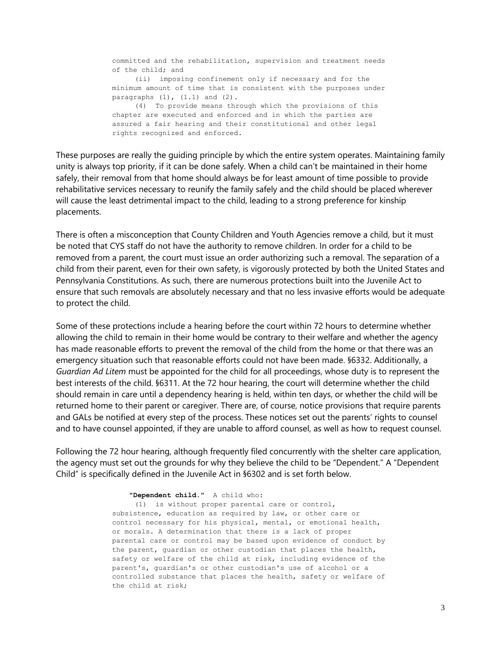committed and the rehabilitation, supervision and treatment needs of the child; and (ii) imposing confinement only if necessary and for the minimum amount of time that is consistent with the purposes under paragraphs  $(1)$ ,  $(1.1)$  and  $(2)$ . (4) To provide means through which the provisions of this chapter are executed and enforced and in which the parties are assured a fair hearing and their constitutional and other legal rights recognized and enforced.

These purposes are really the guiding principle by which the entire system operates. Maintaining family unity is always top priority, if it can be done safely. When a child can't be maintained in their home safely, their removal from that home should always be for least amount of time possible to provide rehabilitative services necessary to reunify the family safely and the child should be placed wherever will cause the least detrimental impact to the child, leading to a strong preference for kinship placements.

There is often a misconception that County Children and Youth Agencies remove a child, but it must be noted that CYS staff do not have the authority to remove children. In order for a child to be removed from a parent, the court must issue an order authorizing such a removal. The separation of a child from their parent, even for their own safety, is vigorously protected by both the United States and Pennsylvania Constitutions. As such, there are numerous protections built into the Juvenile Act to ensure that such removals are absolutely necessary and that no less invasive efforts would be adequate to protect the child.

Some of these protections include a hearing before the court within 72 hours to determine whether allowing the child to remain in their home would be contrary to their welfare and whether the agency has made reasonable efforts to prevent the removal of the child from the home or that there was an emergency situation such that reasonable efforts could not have been made. §6332. Additionally, a *Guardian Ad Litem* must be appointed for the child for all proceedings, whose duty is to represent the best interests of the child. §6311. At the 72 hour hearing, the court will determine whether the child should remain in care until a dependency hearing is held, within ten days, or whether the child will be returned home to their parent or caregiver. There are, of course, notice provisions that require parents and GALs be notified at every step of the process. These notices set out the parents' rights to counsel and to have counsel appointed, if they are unable to afford counsel, as well as how to request counsel.

Following the 72 hour hearing, although frequently filed concurrently with the shelter care application, the agency must set out the grounds for why they believe the child to be "Dependent." A "Dependent Child" is specifically defined in the Juvenile Act in §6302 and is set forth below.

**"Dependent child."** A child who:

(1) is without proper parental care or control, subsistence, education as required by law, or other care or control necessary for his physical, mental, or emotional health, or morals. A determination that there is a lack of proper parental care or control may be based upon evidence of conduct by the parent, guardian or other custodian that places the health, safety or welfare of the child at risk, including evidence of the parent's, guardian's or other custodian's use of alcohol or a controlled substance that places the health, safety or welfare of the child at risk;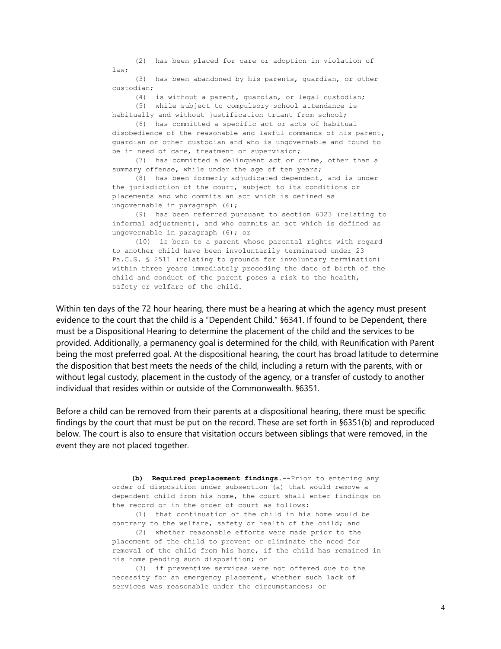(2) has been placed for care or adoption in violation of  $l$ aw $\cdot$ 

(3) has been abandoned by his parents, guardian, or other custodian;

(4) is without a parent, guardian, or legal custodian; (5) while subject to compulsory school attendance is habitually and without justification truant from school;

(6) has committed a specific act or acts of habitual disobedience of the reasonable and lawful commands of his parent, guardian or other custodian and who is ungovernable and found to be in need of care, treatment or supervision;

(7) has committed a delinquent act or crime, other than a summary offense, while under the age of ten years;

(8) has been formerly adjudicated dependent, and is under the jurisdiction of the court, subject to its conditions or placements and who commits an act which is defined as ungovernable in paragraph (6);

(9) has been referred pursuant to section 6323 (relating to informal adjustment), and who commits an act which is defined as ungovernable in paragraph (6); or

(10) is born to a parent whose parental rights with regard to another child have been involuntarily terminated under 23 Pa.C.S. § 2511 (relating to grounds for involuntary termination) within three years immediately preceding the date of birth of the child and conduct of the parent poses a risk to the health, safety or welfare of the child.

Within ten days of the 72 hour hearing, there must be a hearing at which the agency must present evidence to the court that the child is a "Dependent Child." §6341. If found to be Dependent, there must be a Dispositional Hearing to determine the placement of the child and the services to be provided. Additionally, a permanency goal is determined for the child, with Reunification with Parent being the most preferred goal. At the dispositional hearing, the court has broad latitude to determine the disposition that best meets the needs of the child, including a return with the parents, with or without legal custody, placement in the custody of the agency, or a transfer of custody to another individual that resides within or outside of the Commonwealth. §6351.

Before a child can be removed from their parents at a dispositional hearing, there must be specific findings by the court that must be put on the record. These are set forth in §6351(b) and reproduced below. The court is also to ensure that visitation occurs between siblings that were removed, in the event they are not placed together.

> **(b) Required preplacement findings.--**Prior to entering any order of disposition under subsection (a) that would remove a dependent child from his home, the court shall enter findings on the record or in the order of court as follows:

(1) that continuation of the child in his home would be contrary to the welfare, safety or health of the child; and

(2) whether reasonable efforts were made prior to the placement of the child to prevent or eliminate the need for removal of the child from his home, if the child has remained in his home pending such disposition; or

(3) if preventive services were not offered due to the necessity for an emergency placement, whether such lack of services was reasonable under the circumstances; or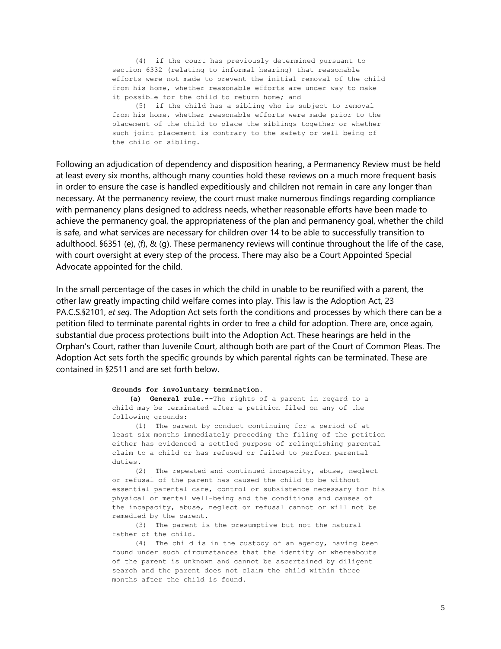(4) if the court has previously determined pursuant to section 6332 (relating to informal hearing) that reasonable efforts were not made to prevent the initial removal of the child from his home, whether reasonable efforts are under way to make it possible for the child to return home; and

(5) if the child has a sibling who is subject to removal from his home, whether reasonable efforts were made prior to the placement of the child to place the siblings together or whether such joint placement is contrary to the safety or well-being of the child or sibling.

Following an adjudication of dependency and disposition hearing, a Permanency Review must be held at least every six months, although many counties hold these reviews on a much more frequent basis in order to ensure the case is handled expeditiously and children not remain in care any longer than necessary. At the permanency review, the court must make numerous findings regarding compliance with permanency plans designed to address needs, whether reasonable efforts have been made to achieve the permanency goal, the appropriateness of the plan and permanency goal, whether the child is safe, and what services are necessary for children over 14 to be able to successfully transition to adulthood. §6351 (e), (f), & (g). These permanency reviews will continue throughout the life of the case, with court oversight at every step of the process. There may also be a Court Appointed Special Advocate appointed for the child.

In the small percentage of the cases in which the child in unable to be reunified with a parent, the other law greatly impacting child welfare comes into play. This law is the Adoption Act, 23 PA.C.S.§2101, *et seq*. The Adoption Act sets forth the conditions and processes by which there can be a petition filed to terminate parental rights in order to free a child for adoption. There are, once again, substantial due process protections built into the Adoption Act. These hearings are held in the Orphan's Court, rather than Juvenile Court, although both are part of the Court of Common Pleas. The Adoption Act sets forth the specific grounds by which parental rights can be terminated. These are contained in §2511 and are set forth below.

## **Grounds for involuntary termination.**

**(a) General rule.--**The rights of a parent in regard to a child may be terminated after a petition filed on any of the following grounds:

(1) The parent by conduct continuing for a period of at least six months immediately preceding the filing of the petition either has evidenced a settled purpose of relinquishing parental claim to a child or has refused or failed to perform parental duties.

(2) The repeated and continued incapacity, abuse, neglect or refusal of the parent has caused the child to be without essential parental care, control or subsistence necessary for his physical or mental well-being and the conditions and causes of the incapacity, abuse, neglect or refusal cannot or will not be remedied by the parent.

(3) The parent is the presumptive but not the natural father of the child.

(4) The child is in the custody of an agency, having been found under such circumstances that the identity or whereabouts of the parent is unknown and cannot be ascertained by diligent search and the parent does not claim the child within three months after the child is found.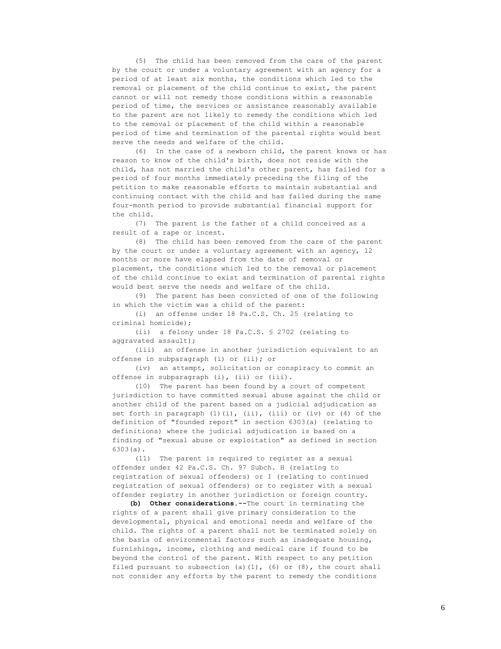(5) The child has been removed from the care of the parent by the court or under a voluntary agreement with an agency for a period of at least six months, the conditions which led to the removal or placement of the child continue to exist, the parent cannot or will not remedy those conditions within a reasonable period of time, the services or assistance reasonably available to the parent are not likely to remedy the conditions which led to the removal or placement of the child within a reasonable period of time and termination of the parental rights would best serve the needs and welfare of the child.

(6) In the case of a newborn child, the parent knows or has reason to know of the child's birth, does not reside with the child, has not married the child's other parent, has failed for a period of four months immediately preceding the filing of the petition to make reasonable efforts to maintain substantial and continuing contact with the child and has failed during the same four-month period to provide substantial financial support for the child.

(7) The parent is the father of a child conceived as a result of a rape or incest.

(8) The child has been removed from the care of the parent by the court or under a voluntary agreement with an agency, 12 months or more have elapsed from the date of removal or placement, the conditions which led to the removal or placement of the child continue to exist and termination of parental rights would best serve the needs and welfare of the child.

(9) The parent has been convicted of one of the following in which the victim was a child of the parent:

(i) an offense under 18 Pa.C.S. Ch. 25 (relating to criminal homicide);

(ii) a felony under 18 Pa.C.S. § 2702 (relating to aggravated assault);

(iii) an offense in another jurisdiction equivalent to an offense in subparagraph (i) or (ii); or

(iv) an attempt, solicitation or conspiracy to commit an offense in subparagraph (i), (ii) or (iii).

(10) The parent has been found by a court of competent jurisdiction to have committed sexual abuse against the child or another child of the parent based on a judicial adjudication as set forth in paragraph (1)(i), (ii), (iii) or (iv) or (4) of the definition of "founded report" in section 6303(a) (relating to definitions) where the judicial adjudication is based on a finding of "sexual abuse or exploitation" as defined in section 6303(a).

(11) The parent is required to register as a sexual offender under 42 Pa.C.S. Ch. 97 Subch. H (relating to registration of sexual offenders) or I (relating to continued registration of sexual offenders) or to register with a sexual offender registry in another jurisdiction or foreign country.

**(b) Other considerations.--**The court in terminating the rights of a parent shall give primary consideration to the developmental, physical and emotional needs and welfare of the child. The rights of a parent shall not be terminated solely on the basis of environmental factors such as inadequate housing, furnishings, income, clothing and medical care if found to be beyond the control of the parent. With respect to any petition filed pursuant to subsection (a)(1), (6) or (8), the court shall not consider any efforts by the parent to remedy the conditions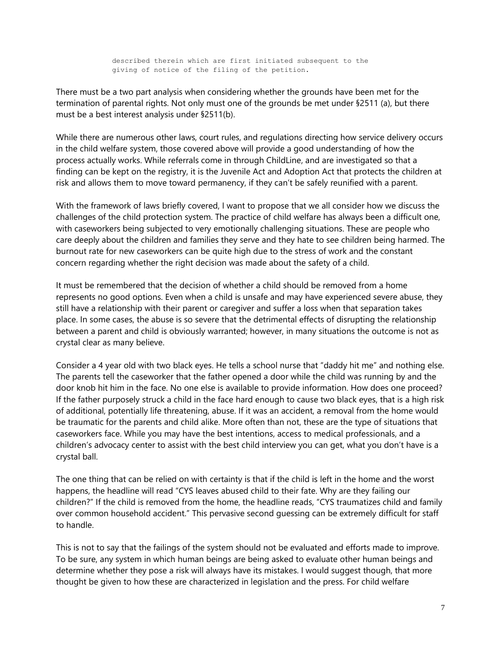described therein which are first initiated subsequent to the giving of notice of the filing of the petition.

There must be a two part analysis when considering whether the grounds have been met for the termination of parental rights. Not only must one of the grounds be met under §2511 (a), but there must be a best interest analysis under §2511(b).

While there are numerous other laws, court rules, and regulations directing how service delivery occurs in the child welfare system, those covered above will provide a good understanding of how the process actually works. While referrals come in through ChildLine, and are investigated so that a finding can be kept on the registry, it is the Juvenile Act and Adoption Act that protects the children at risk and allows them to move toward permanency, if they can't be safely reunified with a parent.

With the framework of laws briefly covered, I want to propose that we all consider how we discuss the challenges of the child protection system. The practice of child welfare has always been a difficult one, with caseworkers being subjected to very emotionally challenging situations. These are people who care deeply about the children and families they serve and they hate to see children being harmed. The burnout rate for new caseworkers can be quite high due to the stress of work and the constant concern regarding whether the right decision was made about the safety of a child.

It must be remembered that the decision of whether a child should be removed from a home represents no good options. Even when a child is unsafe and may have experienced severe abuse, they still have a relationship with their parent or caregiver and suffer a loss when that separation takes place. In some cases, the abuse is so severe that the detrimental effects of disrupting the relationship between a parent and child is obviously warranted; however, in many situations the outcome is not as crystal clear as many believe.

Consider a 4 year old with two black eyes. He tells a school nurse that "daddy hit me" and nothing else. The parents tell the caseworker that the father opened a door while the child was running by and the door knob hit him in the face. No one else is available to provide information. How does one proceed? If the father purposely struck a child in the face hard enough to cause two black eyes, that is a high risk of additional, potentially life threatening, abuse. If it was an accident, a removal from the home would be traumatic for the parents and child alike. More often than not, these are the type of situations that caseworkers face. While you may have the best intentions, access to medical professionals, and a children's advocacy center to assist with the best child interview you can get, what you don't have is a crystal ball.

The one thing that can be relied on with certainty is that if the child is left in the home and the worst happens, the headline will read "CYS leaves abused child to their fate. Why are they failing our children?" If the child is removed from the home, the headline reads, "CYS traumatizes child and family over common household accident." This pervasive second guessing can be extremely difficult for staff to handle.

This is not to say that the failings of the system should not be evaluated and efforts made to improve. To be sure, any system in which human beings are being asked to evaluate other human beings and determine whether they pose a risk will always have its mistakes. I would suggest though, that more thought be given to how these are characterized in legislation and the press. For child welfare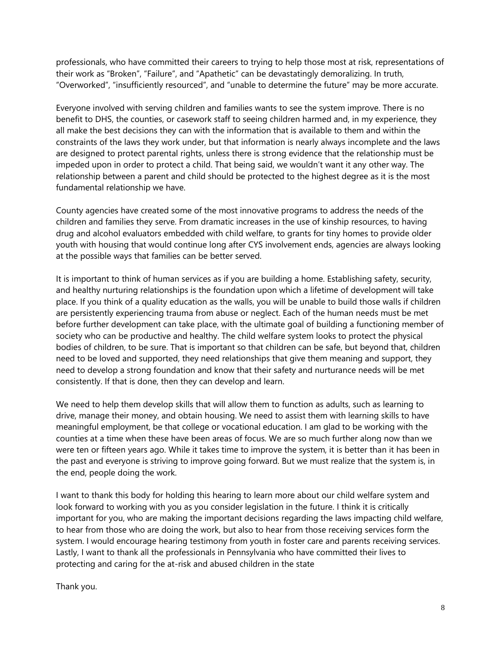professionals, who have committed their careers to trying to help those most at risk, representations of their work as "Broken", "Failure", and "Apathetic" can be devastatingly demoralizing. In truth, "Overworked", "insufficiently resourced", and "unable to determine the future" may be more accurate.

Everyone involved with serving children and families wants to see the system improve. There is no benefit to DHS, the counties, or casework staff to seeing children harmed and, in my experience, they all make the best decisions they can with the information that is available to them and within the constraints of the laws they work under, but that information is nearly always incomplete and the laws are designed to protect parental rights, unless there is strong evidence that the relationship must be impeded upon in order to protect a child. That being said, we wouldn't want it any other way. The relationship between a parent and child should be protected to the highest degree as it is the most fundamental relationship we have.

County agencies have created some of the most innovative programs to address the needs of the children and families they serve. From dramatic increases in the use of kinship resources, to having drug and alcohol evaluators embedded with child welfare, to grants for tiny homes to provide older youth with housing that would continue long after CYS involvement ends, agencies are always looking at the possible ways that families can be better served.

It is important to think of human services as if you are building a home. Establishing safety, security, and healthy nurturing relationships is the foundation upon which a lifetime of development will take place. If you think of a quality education as the walls, you will be unable to build those walls if children are persistently experiencing trauma from abuse or neglect. Each of the human needs must be met before further development can take place, with the ultimate goal of building a functioning member of society who can be productive and healthy. The child welfare system looks to protect the physical bodies of children, to be sure. That is important so that children can be safe, but beyond that, children need to be loved and supported, they need relationships that give them meaning and support, they need to develop a strong foundation and know that their safety and nurturance needs will be met consistently. If that is done, then they can develop and learn.

We need to help them develop skills that will allow them to function as adults, such as learning to drive, manage their money, and obtain housing. We need to assist them with learning skills to have meaningful employment, be that college or vocational education. I am glad to be working with the counties at a time when these have been areas of focus. We are so much further along now than we were ten or fifteen years ago. While it takes time to improve the system, it is better than it has been in the past and everyone is striving to improve going forward. But we must realize that the system is, in the end, people doing the work.

I want to thank this body for holding this hearing to learn more about our child welfare system and look forward to working with you as you consider legislation in the future. I think it is critically important for you, who are making the important decisions regarding the laws impacting child welfare, to hear from those who are doing the work, but also to hear from those receiving services form the system. I would encourage hearing testimony from youth in foster care and parents receiving services. Lastly, I want to thank all the professionals in Pennsylvania who have committed their lives to protecting and caring for the at-risk and abused children in the state

Thank you.